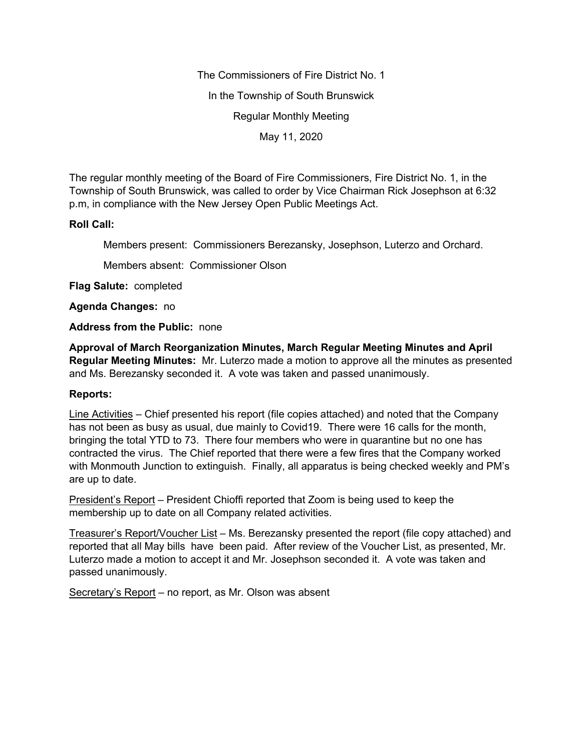The Commissioners of Fire District No. 1

In the Township of South Brunswick

Regular Monthly Meeting

May 11, 2020

The regular monthly meeting of the Board of Fire Commissioners, Fire District No. 1, in the Township of South Brunswick, was called to order by Vice Chairman Rick Josephson at 6:32 p.m, in compliance with the New Jersey Open Public Meetings Act.

## **Roll Call:**

Members present: Commissioners Berezansky, Josephson, Luterzo and Orchard.

Members absent: Commissioner Olson

**Flag Salute:** completed

**Agenda Changes:** no

## **Address from the Public:** none

**Approval of March Reorganization Minutes, March Regular Meeting Minutes and April Regular Meeting Minutes:** Mr. Luterzo made a motion to approve all the minutes as presented and Ms. Berezansky seconded it. A vote was taken and passed unanimously.

## **Reports:**

Line Activities – Chief presented his report (file copies attached) and noted that the Company has not been as busy as usual, due mainly to Covid19. There were 16 calls for the month, bringing the total YTD to 73. There four members who were in quarantine but no one has contracted the virus. The Chief reported that there were a few fires that the Company worked with Monmouth Junction to extinguish. Finally, all apparatus is being checked weekly and PM's are up to date.

President's Report – President Chioffi reported that Zoom is being used to keep the membership up to date on all Company related activities.

Treasurer's Report/Voucher List – Ms. Berezansky presented the report (file copy attached) and reported that all May bills have been paid. After review of the Voucher List, as presented, Mr. Luterzo made a motion to accept it and Mr. Josephson seconded it. A vote was taken and passed unanimously.

Secretary's Report – no report, as Mr. Olson was absent